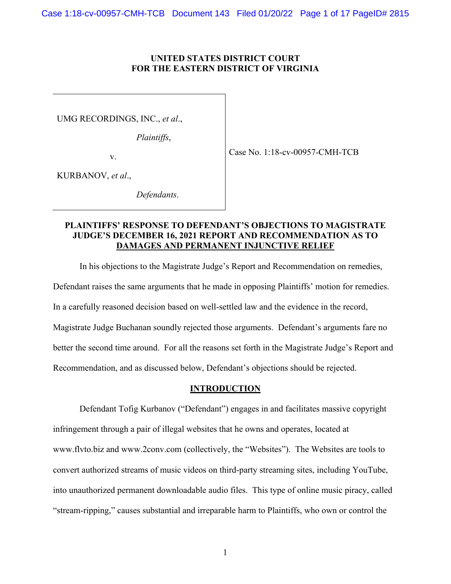# **UNITED STATES DISTRICT COURT FOR THE EASTERN DISTRICT OF VIRGINIA**

UMG RECORDINGS, INC., *et al*.,

*Plaintiffs*,

v.

Case No. 1:18-cv-00957-CMH-TCB

KURBANOV, *et al*.,

*Defendants*.

# **PLAINTIFFS' RESPONSE TO DEFENDANT'S OBJECTIONS TO MAGISTRATE JUDGE'S DECEMBER 16, 2021 REPORT AND RECOMMENDATION AS TO DAMAGES AND PERMANENT INJUNCTIVE RELIEF**

In his objections to the Magistrate Judge's Report and Recommendation on remedies,

Defendant raises the same arguments that he made in opposing Plaintiffs' motion for remedies.

In a carefully reasoned decision based on well-settled law and the evidence in the record,

Magistrate Judge Buchanan soundly rejected those arguments. Defendant's arguments fare no better the second time around. For all the reasons set forth in the Magistrate Judge's Report and Recommendation, and as discussed below, Defendant's objections should be rejected.

# **INTRODUCTION**

Defendant Tofig Kurbanov ("Defendant") engages in and facilitates massive copyright infringement through a pair of illegal websites that he owns and operates, located at www.flvto.biz and www.2conv.com (collectively, the "Websites"). The Websites are tools to convert authorized streams of music videos on third-party streaming sites, including YouTube, into unauthorized permanent downloadable audio files. This type of online music piracy, called "stream-ripping," causes substantial and irreparable harm to Plaintiffs, who own or control the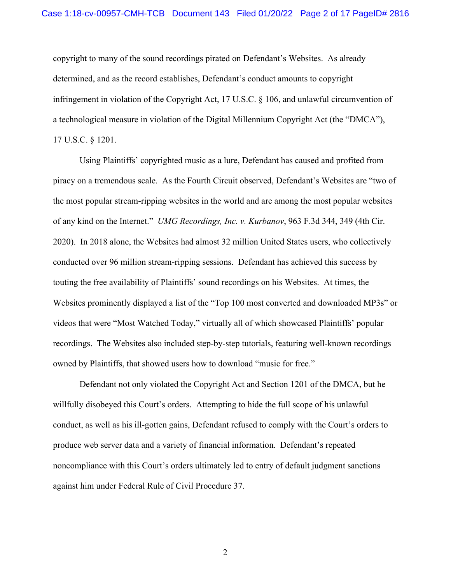copyright to many of the sound recordings pirated on Defendant's Websites. As already determined, and as the record establishes, Defendant's conduct amounts to copyright infringement in violation of the Copyright Act, 17 U.S.C. § 106, and unlawful circumvention of a technological measure in violation of the Digital Millennium Copyright Act (the "DMCA"), 17 U.S.C. § 1201.

Using Plaintiffs' copyrighted music as a lure, Defendant has caused and profited from piracy on a tremendous scale. As the Fourth Circuit observed, Defendant's Websites are "two of the most popular stream-ripping websites in the world and are among the most popular websites of any kind on the Internet." *UMG Recordings, Inc. v. Kurbanov*, 963 F.3d 344, 349 (4th Cir. 2020). In 2018 alone, the Websites had almost 32 million United States users, who collectively conducted over 96 million stream-ripping sessions. Defendant has achieved this success by touting the free availability of Plaintiffs' sound recordings on his Websites. At times, the Websites prominently displayed a list of the "Top 100 most converted and downloaded MP3s" or videos that were "Most Watched Today," virtually all of which showcased Plaintiffs' popular recordings. The Websites also included step-by-step tutorials, featuring well-known recordings owned by Plaintiffs, that showed users how to download "music for free."

Defendant not only violated the Copyright Act and Section 1201 of the DMCA, but he willfully disobeyed this Court's orders. Attempting to hide the full scope of his unlawful conduct, as well as his ill-gotten gains, Defendant refused to comply with the Court's orders to produce web server data and a variety of financial information. Defendant's repeated noncompliance with this Court's orders ultimately led to entry of default judgment sanctions against him under Federal Rule of Civil Procedure 37.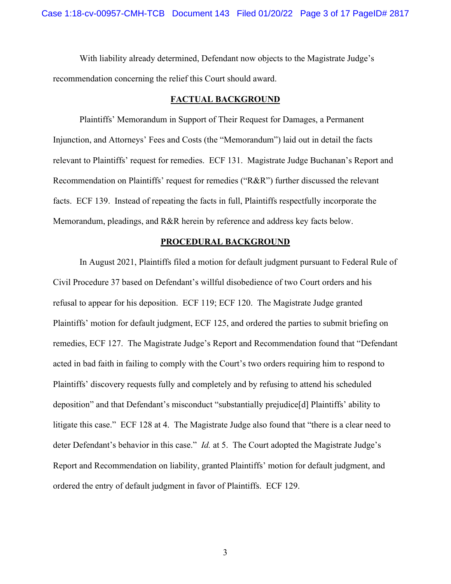With liability already determined, Defendant now objects to the Magistrate Judge's recommendation concerning the relief this Court should award.

### **FACTUAL BACKGROUND**

Plaintiffs' Memorandum in Support of Their Request for Damages, a Permanent Injunction, and Attorneys' Fees and Costs (the "Memorandum") laid out in detail the facts relevant to Plaintiffs' request for remedies. ECF 131. Magistrate Judge Buchanan's Report and Recommendation on Plaintiffs' request for remedies ("R&R") further discussed the relevant facts. ECF 139. Instead of repeating the facts in full, Plaintiffs respectfully incorporate the Memorandum, pleadings, and R&R herein by reference and address key facts below.

#### **PROCEDURAL BACKGROUND**

In August 2021, Plaintiffs filed a motion for default judgment pursuant to Federal Rule of Civil Procedure 37 based on Defendant's willful disobedience of two Court orders and his refusal to appear for his deposition. ECF 119; ECF 120. The Magistrate Judge granted Plaintiffs' motion for default judgment, ECF 125, and ordered the parties to submit briefing on remedies, ECF 127. The Magistrate Judge's Report and Recommendation found that "Defendant acted in bad faith in failing to comply with the Court's two orders requiring him to respond to Plaintiffs' discovery requests fully and completely and by refusing to attend his scheduled deposition" and that Defendant's misconduct "substantially prejudice[d] Plaintiffs' ability to litigate this case." ECF 128 at 4. The Magistrate Judge also found that "there is a clear need to deter Defendant's behavior in this case." *Id.* at 5. The Court adopted the Magistrate Judge's Report and Recommendation on liability, granted Plaintiffs' motion for default judgment, and ordered the entry of default judgment in favor of Plaintiffs. ECF 129.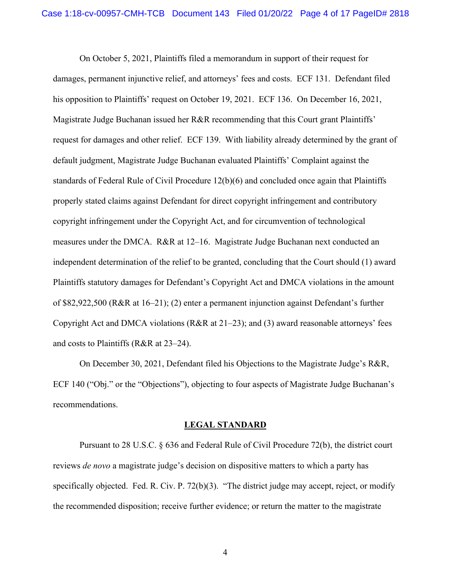On October 5, 2021, Plaintiffs filed a memorandum in support of their request for damages, permanent injunctive relief, and attorneys' fees and costs. ECF 131. Defendant filed his opposition to Plaintiffs' request on October 19, 2021. ECF 136. On December 16, 2021, Magistrate Judge Buchanan issued her R&R recommending that this Court grant Plaintiffs' request for damages and other relief. ECF 139. With liability already determined by the grant of default judgment, Magistrate Judge Buchanan evaluated Plaintiffs' Complaint against the standards of Federal Rule of Civil Procedure 12(b)(6) and concluded once again that Plaintiffs properly stated claims against Defendant for direct copyright infringement and contributory copyright infringement under the Copyright Act, and for circumvention of technological measures under the DMCA. R&R at 12–16. Magistrate Judge Buchanan next conducted an independent determination of the relief to be granted, concluding that the Court should (1) award Plaintiffs statutory damages for Defendant's Copyright Act and DMCA violations in the amount of \$82,922,500 (R&R at 16–21); (2) enter a permanent injunction against Defendant's further Copyright Act and DMCA violations (R&R at 21–23); and (3) award reasonable attorneys' fees and costs to Plaintiffs (R&R at 23–24).

On December 30, 2021, Defendant filed his Objections to the Magistrate Judge's R&R, ECF 140 ("Obj." or the "Objections"), objecting to four aspects of Magistrate Judge Buchanan's recommendations.

#### **LEGAL STANDARD**

Pursuant to 28 U.S.C. § 636 and Federal Rule of Civil Procedure 72(b), the district court reviews *de novo* a magistrate judge's decision on dispositive matters to which a party has specifically objected. Fed. R. Civ. P. 72(b)(3). "The district judge may accept, reject, or modify the recommended disposition; receive further evidence; or return the matter to the magistrate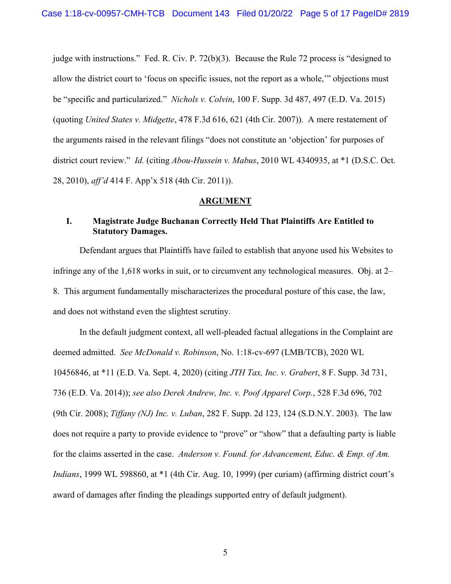judge with instructions." Fed. R. Civ. P. 72(b)(3). Because the Rule 72 process is "designed to allow the district court to 'focus on specific issues, not the report as a whole,'" objections must be "specific and particularized." *Nichols v. Colvin*, 100 F. Supp. 3d 487, 497 (E.D. Va. 2015) (quoting *United States v. Midgette*, 478 F.3d 616, 621 (4th Cir. 2007)). A mere restatement of the arguments raised in the relevant filings "does not constitute an 'objection' for purposes of district court review." *Id.* (citing *Abou-Hussein v. Mabus*, 2010 WL 4340935, at \*1 (D.S.C. Oct. 28, 2010), *aff'd* 414 F. App'x 518 (4th Cir. 2011)).

## **ARGUMENT**

# **I. Magistrate Judge Buchanan Correctly Held That Plaintiffs Are Entitled to Statutory Damages.**

Defendant argues that Plaintiffs have failed to establish that anyone used his Websites to infringe any of the 1,618 works in suit, or to circumvent any technological measures. Obj. at 2– 8. This argument fundamentally mischaracterizes the procedural posture of this case, the law, and does not withstand even the slightest scrutiny.

In the default judgment context, all well-pleaded factual allegations in the Complaint are deemed admitted. *See McDonald v. Robinson*, No. 1:18-cv-697 (LMB/TCB), 2020 WL 10456846, at \*11 (E.D. Va. Sept. 4, 2020) (citing *JTH Tax, Inc. v. Grabert*, 8 F. Supp. 3d 731, 736 (E.D. Va. 2014)); *see also Derek Andrew, Inc. v. Poof Apparel Corp.*, 528 F.3d 696, 702 (9th Cir. 2008); *Tiffany (NJ) Inc. v. Luban*, 282 F. Supp. 2d 123, 124 (S.D.N.Y. 2003). The law does not require a party to provide evidence to "prove" or "show" that a defaulting party is liable for the claims asserted in the case. *Anderson v. Found. for Advancement, Educ. & Emp. of Am. Indians*, 1999 WL 598860, at \*1 (4th Cir. Aug. 10, 1999) (per curiam) (affirming district court's award of damages after finding the pleadings supported entry of default judgment).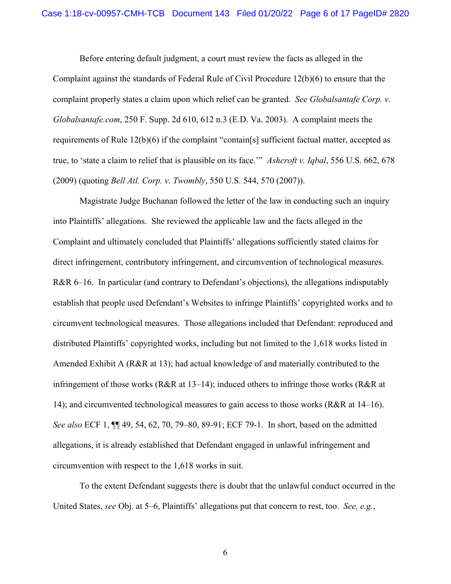Before entering default judgment, a court must review the facts as alleged in the Complaint against the standards of Federal Rule of Civil Procedure 12(b)(6) to ensure that the complaint properly states a claim upon which relief can be granted. *See Globalsantafe Corp. v. Globalsantafe.com*, 250 F. Supp. 2d 610, 612 n.3 (E.D. Va. 2003). A complaint meets the requirements of Rule 12(b)(6) if the complaint "contain[s] sufficient factual matter, accepted as true, to 'state a claim to relief that is plausible on its face.'" *Ashcroft v. Iqbal*, 556 U.S. 662, 678 (2009) (quoting *Bell Atl. Corp. v. Twombly*, 550 U.S. 544, 570 (2007)).

Magistrate Judge Buchanan followed the letter of the law in conducting such an inquiry into Plaintiffs' allegations. She reviewed the applicable law and the facts alleged in the Complaint and ultimately concluded that Plaintiffs' allegations sufficiently stated claims for direct infringement, contributory infringement, and circumvention of technological measures. R&R 6–16. In particular (and contrary to Defendant's objections), the allegations indisputably establish that people used Defendant's Websites to infringe Plaintiffs' copyrighted works and to circumvent technological measures. Those allegations included that Defendant: reproduced and distributed Plaintiffs' copyrighted works, including but not limited to the 1,618 works listed in Amended Exhibit A (R&R at 13); had actual knowledge of and materially contributed to the infringement of those works (R&R at 13–14); induced others to infringe those works (R&R at 14); and circumvented technological measures to gain access to those works (R&R at 14–16). *See also* ECF 1, ¶¶ 49, 54, 62, 70, 79–80, 89-91; ECF 79-1. In short, based on the admitted allegations, it is already established that Defendant engaged in unlawful infringement and circumvention with respect to the 1,618 works in suit.

To the extent Defendant suggests there is doubt that the unlawful conduct occurred in the United States, *see* Obj. at 5–6, Plaintiffs' allegations put that concern to rest, too. *See, e.g.*,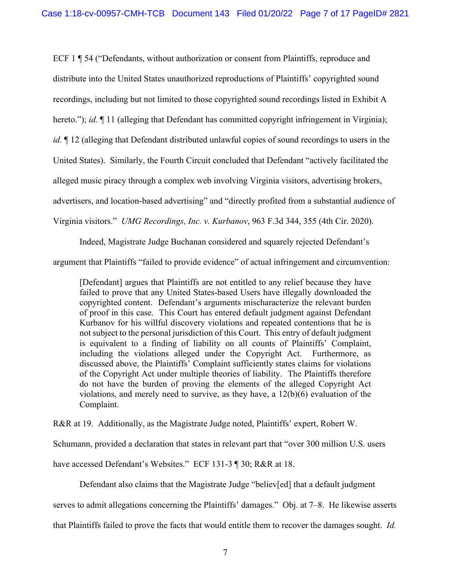ECF 1 ¶ 54 ("Defendants, without authorization or consent from Plaintiffs, reproduce and distribute into the United States unauthorized reproductions of Plaintiffs' copyrighted sound recordings, including but not limited to those copyrighted sound recordings listed in Exhibit A hereto."); *id.*  $\P$  11 (alleging that Defendant has committed copyright infringement in Virginia); *id.*  $\parallel$  12 (alleging that Defendant distributed unlawful copies of sound recordings to users in the United States). Similarly, the Fourth Circuit concluded that Defendant "actively facilitated the alleged music piracy through a complex web involving Virginia visitors, advertising brokers, advertisers, and location-based advertising" and "directly profited from a substantial audience of Virginia visitors." *UMG Recordings, Inc. v. Kurbanov*, 963 F.3d 344, 355 (4th Cir. 2020).

Indeed, Magistrate Judge Buchanan considered and squarely rejected Defendant's argument that Plaintiffs "failed to provide evidence" of actual infringement and circumvention:

[Defendant] argues that Plaintiffs are not entitled to any relief because they have failed to prove that any United States-based Users have illegally downloaded the copyrighted content. Defendant's arguments mischaracterize the relevant burden of proof in this case. This Court has entered default judgment against Defendant Kurbanov for his willful discovery violations and repeated contentions that he is not subject to the personal jurisdiction of this Court. This entry of default judgment is equivalent to a finding of liability on all counts of Plaintiffs' Complaint, including the violations alleged under the Copyright Act. Furthermore, as discussed above, the Plaintiffs' Complaint sufficiently states claims for violations of the Copyright Act under multiple theories of liability. The Plaintiffs therefore do not have the burden of proving the elements of the alleged Copyright Act violations, and merely need to survive, as they have, a 12(b)(6) evaluation of the Complaint.

R&R at 19. Additionally, as the Magistrate Judge noted, Plaintiffs' expert, Robert W.

Schumann, provided a declaration that states in relevant part that "over 300 million U.S. users

have accessed Defendant's Websites." ECF 131-3 ¶ 30; R&R at 18.

Defendant also claims that the Magistrate Judge "believ[ed] that a default judgment

serves to admit allegations concerning the Plaintiffs' damages." Obj. at 7–8. He likewise asserts

that Plaintiffs failed to prove the facts that would entitle them to recover the damages sought. *Id.*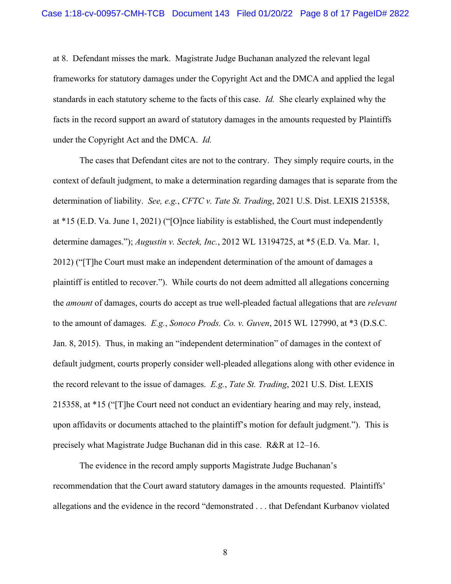at 8. Defendant misses the mark. Magistrate Judge Buchanan analyzed the relevant legal frameworks for statutory damages under the Copyright Act and the DMCA and applied the legal standards in each statutory scheme to the facts of this case. *Id.* She clearly explained why the facts in the record support an award of statutory damages in the amounts requested by Plaintiffs under the Copyright Act and the DMCA. *Id.*

The cases that Defendant cites are not to the contrary. They simply require courts, in the context of default judgment, to make a determination regarding damages that is separate from the determination of liability. *See, e.g.*, *CFTC v. Tate St. Trading*, 2021 U.S. Dist. LEXIS 215358, at \*15 (E.D. Va. June 1, 2021) ("[O]nce liability is established, the Court must independently determine damages."); *Augustin v. Sectek, Inc.*, 2012 WL 13194725, at \*5 (E.D. Va. Mar. 1, 2012) ("[T]he Court must make an independent determination of the amount of damages a plaintiff is entitled to recover."). While courts do not deem admitted all allegations concerning the *amount* of damages, courts do accept as true well-pleaded factual allegations that are *relevant* to the amount of damages. *E.g.*, *Sonoco Prods. Co. v. Guven*, 2015 WL 127990, at \*3 (D.S.C. Jan. 8, 2015). Thus, in making an "independent determination" of damages in the context of default judgment, courts properly consider well-pleaded allegations along with other evidence in the record relevant to the issue of damages. *E.g.*, *Tate St. Trading*, 2021 U.S. Dist. LEXIS 215358, at \*15 ("[T]he Court need not conduct an evidentiary hearing and may rely, instead, upon affidavits or documents attached to the plaintiff's motion for default judgment."). This is precisely what Magistrate Judge Buchanan did in this case. R&R at 12–16.

The evidence in the record amply supports Magistrate Judge Buchanan's recommendation that the Court award statutory damages in the amounts requested. Plaintiffs' allegations and the evidence in the record "demonstrated . . . that Defendant Kurbanov violated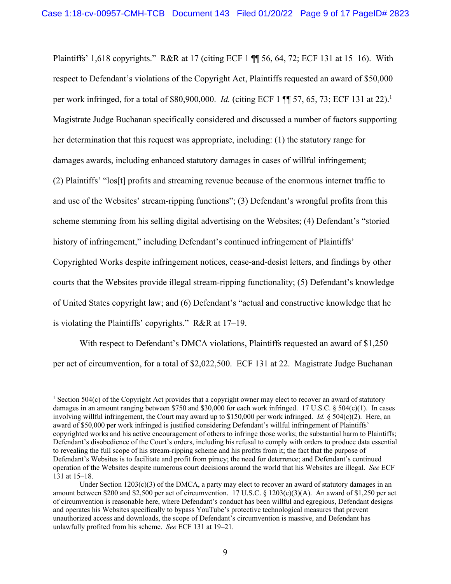Plaintiffs' 1,618 copyrights." R&R at 17 (citing ECF 1 ¶¶ 56, 64, 72; ECF 131 at 15–16). With respect to Defendant's violations of the Copyright Act, Plaintiffs requested an award of \$50,000 per work infringed, for a total of \$80,900,000. *Id.* (citing ECF 1 ¶¶ 57, 65, 73; ECF 131 at 22).1 Magistrate Judge Buchanan specifically considered and discussed a number of factors supporting her determination that this request was appropriate, including: (1) the statutory range for damages awards, including enhanced statutory damages in cases of willful infringement; (2) Plaintiffs' "los[t] profits and streaming revenue because of the enormous internet traffic to and use of the Websites' stream-ripping functions"; (3) Defendant's wrongful profits from this scheme stemming from his selling digital advertising on the Websites; (4) Defendant's "storied history of infringement," including Defendant's continued infringement of Plaintiffs' Copyrighted Works despite infringement notices, cease-and-desist letters, and findings by other courts that the Websites provide illegal stream-ripping functionality; (5) Defendant's knowledge

of United States copyright law; and (6) Defendant's "actual and constructive knowledge that he

is violating the Plaintiffs' copyrights." R&R at 17–19.

With respect to Defendant's DMCA violations, Plaintiffs requested an award of \$1,250 per act of circumvention, for a total of \$2,022,500. ECF 131 at 22. Magistrate Judge Buchanan

<sup>&</sup>lt;sup>1</sup> Section 504(c) of the Copyright Act provides that a copyright owner may elect to recover an award of statutory damages in an amount ranging between \$750 and \$30,000 for each work infringed. 17 U.S.C. § 504(c)(1). In cases involving willful infringement, the Court may award up to \$150,000 per work infringed. *Id.* § 504(c)(2). Here, an award of \$50,000 per work infringed is justified considering Defendant's willful infringement of Plaintiffs' copyrighted works and his active encouragement of others to infringe those works; the substantial harm to Plaintiffs; Defendant's disobedience of the Court's orders, including his refusal to comply with orders to produce data essential to revealing the full scope of his stream-ripping scheme and his profits from it; the fact that the purpose of Defendant's Websites is to facilitate and profit from piracy; the need for deterrence; and Defendant's continued operation of the Websites despite numerous court decisions around the world that his Websites are illegal. *See* ECF 131 at 15–18.

Under Section  $1203(c)(3)$  of the DMCA, a party may elect to recover an award of statutory damages in an amount between \$200 and \$2,500 per act of circumvention. 17 U.S.C. § 1203(c)(3)(A). An award of \$1,250 per act of circumvention is reasonable here, where Defendant's conduct has been willful and egregious, Defendant designs and operates his Websites specifically to bypass YouTube's protective technological measures that prevent unauthorized access and downloads, the scope of Defendant's circumvention is massive, and Defendant has unlawfully profited from his scheme. *See* ECF 131 at 19–21.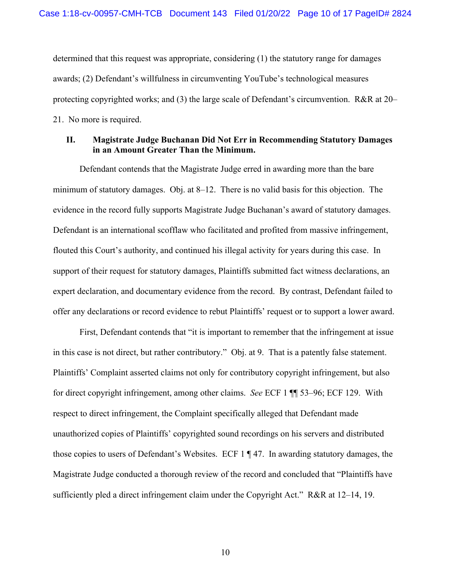determined that this request was appropriate, considering (1) the statutory range for damages awards; (2) Defendant's willfulness in circumventing YouTube's technological measures protecting copyrighted works; and (3) the large scale of Defendant's circumvention. R&R at 20– 21. No more is required.

# **II. Magistrate Judge Buchanan Did Not Err in Recommending Statutory Damages in an Amount Greater Than the Minimum.**

Defendant contends that the Magistrate Judge erred in awarding more than the bare minimum of statutory damages. Obj. at 8–12. There is no valid basis for this objection. The evidence in the record fully supports Magistrate Judge Buchanan's award of statutory damages. Defendant is an international scofflaw who facilitated and profited from massive infringement, flouted this Court's authority, and continued his illegal activity for years during this case. In support of their request for statutory damages, Plaintiffs submitted fact witness declarations, an expert declaration, and documentary evidence from the record. By contrast, Defendant failed to offer any declarations or record evidence to rebut Plaintiffs' request or to support a lower award.

First, Defendant contends that "it is important to remember that the infringement at issue in this case is not direct, but rather contributory." Obj. at 9. That is a patently false statement. Plaintiffs' Complaint asserted claims not only for contributory copyright infringement, but also for direct copyright infringement, among other claims. *See* ECF 1 ¶¶ 53–96; ECF 129. With respect to direct infringement, the Complaint specifically alleged that Defendant made unauthorized copies of Plaintiffs' copyrighted sound recordings on his servers and distributed those copies to users of Defendant's Websites. ECF 1 ¶ 47. In awarding statutory damages, the Magistrate Judge conducted a thorough review of the record and concluded that "Plaintiffs have sufficiently pled a direct infringement claim under the Copyright Act." R&R at 12–14, 19.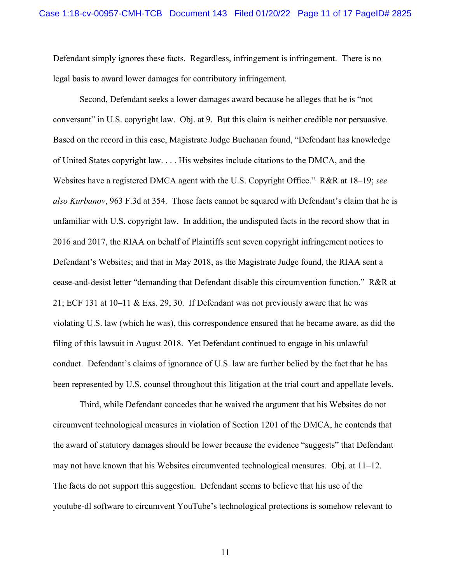Defendant simply ignores these facts. Regardless, infringement is infringement. There is no legal basis to award lower damages for contributory infringement.

Second, Defendant seeks a lower damages award because he alleges that he is "not conversant" in U.S. copyright law. Obj. at 9. But this claim is neither credible nor persuasive. Based on the record in this case, Magistrate Judge Buchanan found, "Defendant has knowledge of United States copyright law. . . . His websites include citations to the DMCA, and the Websites have a registered DMCA agent with the U.S. Copyright Office." R&R at 18–19; *see also Kurbanov*, 963 F.3d at 354. Those facts cannot be squared with Defendant's claim that he is unfamiliar with U.S. copyright law. In addition, the undisputed facts in the record show that in 2016 and 2017, the RIAA on behalf of Plaintiffs sent seven copyright infringement notices to Defendant's Websites; and that in May 2018, as the Magistrate Judge found, the RIAA sent a cease-and-desist letter "demanding that Defendant disable this circumvention function." R&R at 21; ECF 131 at  $10-11 \&$  Exs. 29, 30. If Defendant was not previously aware that he was violating U.S. law (which he was), this correspondence ensured that he became aware, as did the filing of this lawsuit in August 2018. Yet Defendant continued to engage in his unlawful conduct. Defendant's claims of ignorance of U.S. law are further belied by the fact that he has been represented by U.S. counsel throughout this litigation at the trial court and appellate levels.

Third, while Defendant concedes that he waived the argument that his Websites do not circumvent technological measures in violation of Section 1201 of the DMCA, he contends that the award of statutory damages should be lower because the evidence "suggests" that Defendant may not have known that his Websites circumvented technological measures. Obj. at  $11-12$ . The facts do not support this suggestion. Defendant seems to believe that his use of the youtube-dl software to circumvent YouTube's technological protections is somehow relevant to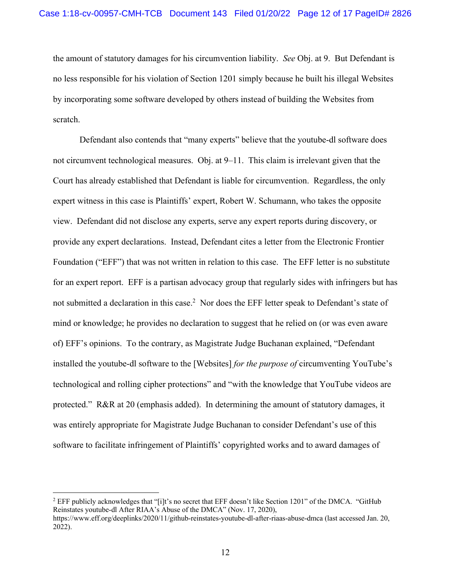the amount of statutory damages for his circumvention liability. *See* Obj. at 9. But Defendant is no less responsible for his violation of Section 1201 simply because he built his illegal Websites by incorporating some software developed by others instead of building the Websites from scratch.

Defendant also contends that "many experts" believe that the youtube-dl software does not circumvent technological measures. Obj. at 9–11. This claim is irrelevant given that the Court has already established that Defendant is liable for circumvention. Regardless, the only expert witness in this case is Plaintiffs' expert, Robert W. Schumann, who takes the opposite view. Defendant did not disclose any experts, serve any expert reports during discovery, or provide any expert declarations. Instead, Defendant cites a letter from the Electronic Frontier Foundation ("EFF") that was not written in relation to this case. The EFF letter is no substitute for an expert report. EFF is a partisan advocacy group that regularly sides with infringers but has not submitted a declaration in this case.<sup>2</sup> Nor does the EFF letter speak to Defendant's state of mind or knowledge; he provides no declaration to suggest that he relied on (or was even aware of) EFF's opinions. To the contrary, as Magistrate Judge Buchanan explained, "Defendant installed the youtube-dl software to the [Websites] *for the purpose of* circumventing YouTube's technological and rolling cipher protections" and "with the knowledge that YouTube videos are protected." R&R at 20 (emphasis added). In determining the amount of statutory damages, it was entirely appropriate for Magistrate Judge Buchanan to consider Defendant's use of this software to facilitate infringement of Plaintiffs' copyrighted works and to award damages of

<sup>&</sup>lt;sup>2</sup> EFF publicly acknowledges that "[i]t's no secret that EFF doesn't like Section 1201" of the DMCA. "GitHub" Reinstates youtube-dl After RIAA's Abuse of the DMCA" (Nov. 17, 2020), https://www.eff.org/deeplinks/2020/11/github-reinstates-youtube-dl-after-riaas-abuse-dmca (last accessed Jan. 20, 2022).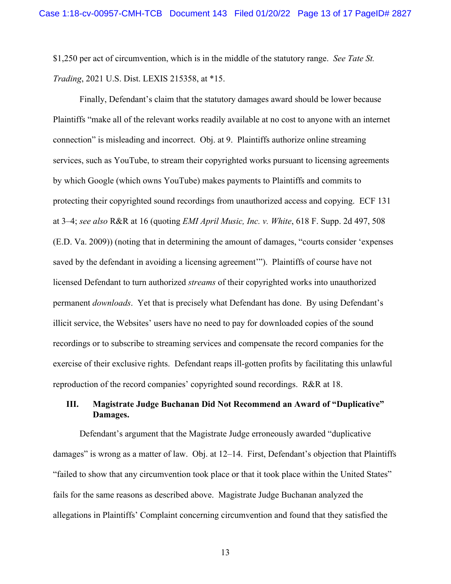\$1,250 per act of circumvention, which is in the middle of the statutory range. *See Tate St. Trading*, 2021 U.S. Dist. LEXIS 215358, at \*15.

Finally, Defendant's claim that the statutory damages award should be lower because Plaintiffs "make all of the relevant works readily available at no cost to anyone with an internet connection" is misleading and incorrect. Obj. at 9. Plaintiffs authorize online streaming services, such as YouTube, to stream their copyrighted works pursuant to licensing agreements by which Google (which owns YouTube) makes payments to Plaintiffs and commits to protecting their copyrighted sound recordings from unauthorized access and copying. ECF 131 at 3–4; *see also* R&R at 16 (quoting *EMI April Music, Inc. v. White*, 618 F. Supp. 2d 497, 508 (E.D. Va. 2009)) (noting that in determining the amount of damages, "courts consider 'expenses saved by the defendant in avoiding a licensing agreement'"). Plaintiffs of course have not licensed Defendant to turn authorized *streams* of their copyrighted works into unauthorized permanent *downloads*. Yet that is precisely what Defendant has done. By using Defendant's illicit service, the Websites' users have no need to pay for downloaded copies of the sound recordings or to subscribe to streaming services and compensate the record companies for the exercise of their exclusive rights. Defendant reaps ill-gotten profits by facilitating this unlawful reproduction of the record companies' copyrighted sound recordings. R&R at 18.

# **III. Magistrate Judge Buchanan Did Not Recommend an Award of "Duplicative" Damages.**

Defendant's argument that the Magistrate Judge erroneously awarded "duplicative damages" is wrong as a matter of law. Obj. at 12–14. First, Defendant's objection that Plaintiffs "failed to show that any circumvention took place or that it took place within the United States" fails for the same reasons as described above. Magistrate Judge Buchanan analyzed the allegations in Plaintiffs' Complaint concerning circumvention and found that they satisfied the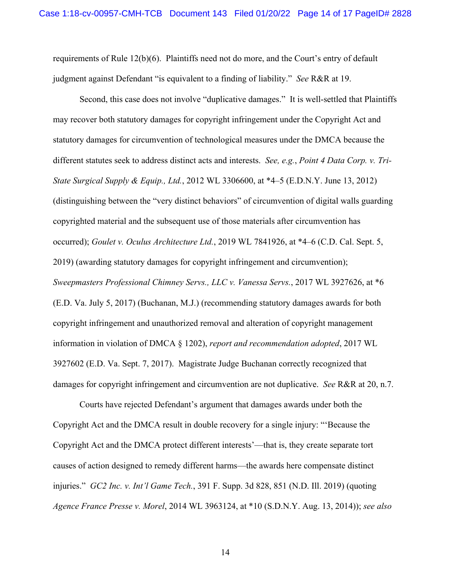requirements of Rule 12(b)(6). Plaintiffs need not do more, and the Court's entry of default judgment against Defendant "is equivalent to a finding of liability." *See* R&R at 19.

Second, this case does not involve "duplicative damages." It is well-settled that Plaintiffs may recover both statutory damages for copyright infringement under the Copyright Act and statutory damages for circumvention of technological measures under the DMCA because the different statutes seek to address distinct acts and interests. *See, e.g.*, *Point 4 Data Corp. v. Tri-State Surgical Supply & Equip., Ltd.*, 2012 WL 3306600, at \*4–5 (E.D.N.Y. June 13, 2012) (distinguishing between the "very distinct behaviors" of circumvention of digital walls guarding copyrighted material and the subsequent use of those materials after circumvention has occurred); *Goulet v. Oculus Architecture Ltd.*, 2019 WL 7841926, at \*4–6 (C.D. Cal. Sept. 5, 2019) (awarding statutory damages for copyright infringement and circumvention); *Sweepmasters Professional Chimney Servs., LLC v. Vanessa Servs.*, 2017 WL 3927626, at \*6 (E.D. Va. July 5, 2017) (Buchanan, M.J.) (recommending statutory damages awards for both copyright infringement and unauthorized removal and alteration of copyright management information in violation of DMCA § 1202), *report and recommendation adopted*, 2017 WL 3927602 (E.D. Va. Sept. 7, 2017). Magistrate Judge Buchanan correctly recognized that damages for copyright infringement and circumvention are not duplicative. *See* R&R at 20, n.7.

Courts have rejected Defendant's argument that damages awards under both the Copyright Act and the DMCA result in double recovery for a single injury: "'Because the Copyright Act and the DMCA protect different interests'—that is, they create separate tort causes of action designed to remedy different harms—the awards here compensate distinct injuries." *GC2 Inc. v. Int'l Game Tech.*, 391 F. Supp. 3d 828, 851 (N.D. Ill. 2019) (quoting *Agence France Presse v. Morel*, 2014 WL 3963124, at \*10 (S.D.N.Y. Aug. 13, 2014)); *see also*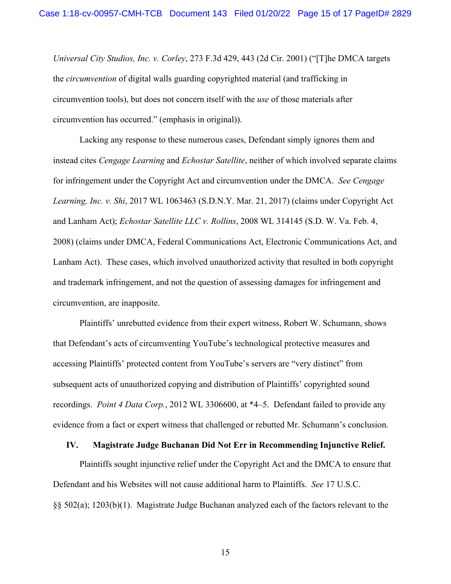*Universal City Studios, Inc. v. Corley*, 273 F.3d 429, 443 (2d Cir. 2001) ("[T]he DMCA targets the *circumvention* of digital walls guarding copyrighted material (and trafficking in circumvention tools), but does not concern itself with the *use* of those materials after circumvention has occurred." (emphasis in original)).

Lacking any response to these numerous cases, Defendant simply ignores them and instead cites *Cengage Learning* and *Echostar Satellite*, neither of which involved separate claims for infringement under the Copyright Act and circumvention under the DMCA. *See Cengage Learning, Inc. v. Shi*, 2017 WL 1063463 (S.D.N.Y. Mar. 21, 2017) (claims under Copyright Act and Lanham Act); *Echostar Satellite LLC v. Rollins*, 2008 WL 314145 (S.D. W. Va. Feb. 4, 2008) (claims under DMCA, Federal Communications Act, Electronic Communications Act, and Lanham Act). These cases, which involved unauthorized activity that resulted in both copyright and trademark infringement, and not the question of assessing damages for infringement and circumvention, are inapposite.

Plaintiffs' unrebutted evidence from their expert witness, Robert W. Schumann, shows that Defendant's acts of circumventing YouTube's technological protective measures and accessing Plaintiffs' protected content from YouTube's servers are "very distinct" from subsequent acts of unauthorized copying and distribution of Plaintiffs' copyrighted sound recordings. *Point 4 Data Corp.*, 2012 WL 3306600, at \*4–5. Defendant failed to provide any evidence from a fact or expert witness that challenged or rebutted Mr. Schumann's conclusion.

# **IV. Magistrate Judge Buchanan Did Not Err in Recommending Injunctive Relief.**

Plaintiffs sought injunctive relief under the Copyright Act and the DMCA to ensure that Defendant and his Websites will not cause additional harm to Plaintiffs. *See* 17 U.S.C. §§ 502(a); 1203(b)(1). Magistrate Judge Buchanan analyzed each of the factors relevant to the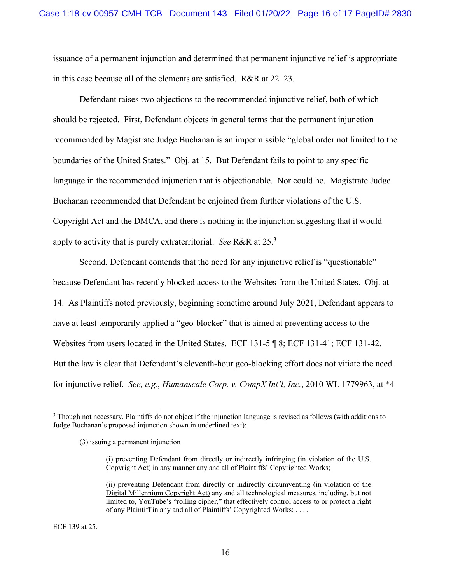issuance of a permanent injunction and determined that permanent injunctive relief is appropriate in this case because all of the elements are satisfied. R&R at 22–23.

Defendant raises two objections to the recommended injunctive relief, both of which should be rejected. First, Defendant objects in general terms that the permanent injunction recommended by Magistrate Judge Buchanan is an impermissible "global order not limited to the boundaries of the United States." Obj. at 15. But Defendant fails to point to any specific language in the recommended injunction that is objectionable. Nor could he. Magistrate Judge Buchanan recommended that Defendant be enjoined from further violations of the U.S. Copyright Act and the DMCA, and there is nothing in the injunction suggesting that it would apply to activity that is purely extraterritorial. *See* R&R at 25.3

Second, Defendant contends that the need for any injunctive relief is "questionable" because Defendant has recently blocked access to the Websites from the United States. Obj. at 14. As Plaintiffs noted previously, beginning sometime around July 2021, Defendant appears to have at least temporarily applied a "geo-blocker" that is aimed at preventing access to the Websites from users located in the United States. ECF 131-5 ¶ 8; ECF 131-41; ECF 131-42. But the law is clear that Defendant's eleventh-hour geo-blocking effort does not vitiate the need for injunctive relief. *See, e.g.*, *Humanscale Corp. v. CompX Int'l, Inc.*, 2010 WL 1779963, at \*4

ECF 139 at 25.

<sup>&</sup>lt;sup>3</sup> Though not necessary, Plaintiffs do not object if the injunction language is revised as follows (with additions to Judge Buchanan's proposed injunction shown in underlined text):

<sup>(3)</sup> issuing a permanent injunction

<sup>(</sup>i) preventing Defendant from directly or indirectly infringing (in violation of the U.S. Copyright Act) in any manner any and all of Plaintiffs' Copyrighted Works;

<sup>(</sup>ii) preventing Defendant from directly or indirectly circumventing (in violation of the Digital Millennium Copyright Act) any and all technological measures, including, but not limited to, YouTube's "rolling cipher," that effectively control access to or protect a right of any Plaintiff in any and all of Plaintiffs' Copyrighted Works; . . . .